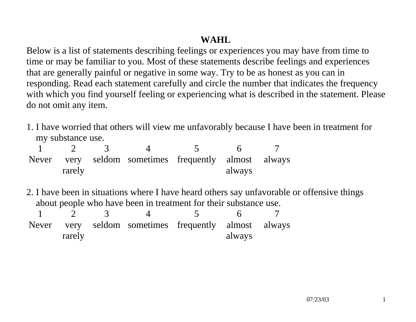## **WAHL**

Below is a list of statements describing feelings or experiences you may have from time to time or may be familiar to you. Most of these statements describe feelings and experiences that are generally painful or negative in some way. Try to be as honest as you can in responding. Read each statement carefully and circle the number that indicates the frequency with which you find yourself feeling or experiencing what is described in the statement. Please do not omit any item.

1. I have worried that others will view me unfavorably because I have been in treatment for my substance use.

|        |  | Never very seldom sometimes frequently almost always |        |  |
|--------|--|------------------------------------------------------|--------|--|
| rarely |  |                                                      | always |  |

2. I have been in situations where I have heard others say unfavorable or offensive things about people who have been in treatment for their substance use.

| rarely |  | Never very seldom sometimes frequently almost always | always |  |
|--------|--|------------------------------------------------------|--------|--|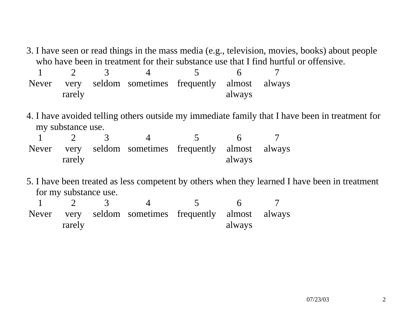3. I have seen or read things in the mass media (e.g., television, movies, books) about people who have been in treatment for their substance use that I find hurtful or offensive.

|        |  | Never very seldom sometimes frequently almost always |        |  |
|--------|--|------------------------------------------------------|--------|--|
| rarely |  |                                                      | always |  |

4. I have avoided telling others outside my immediate family that I have been in treatment for my substance use.

|        | Never very seldom sometimes frequently almost always |        |  |
|--------|------------------------------------------------------|--------|--|
| rarely |                                                      | always |  |

5. I have been treated as less competent by others when they learned I have been in treatment for my substance use.

| rarely |  | Never very seldom sometimes frequently almost always | always |  |
|--------|--|------------------------------------------------------|--------|--|